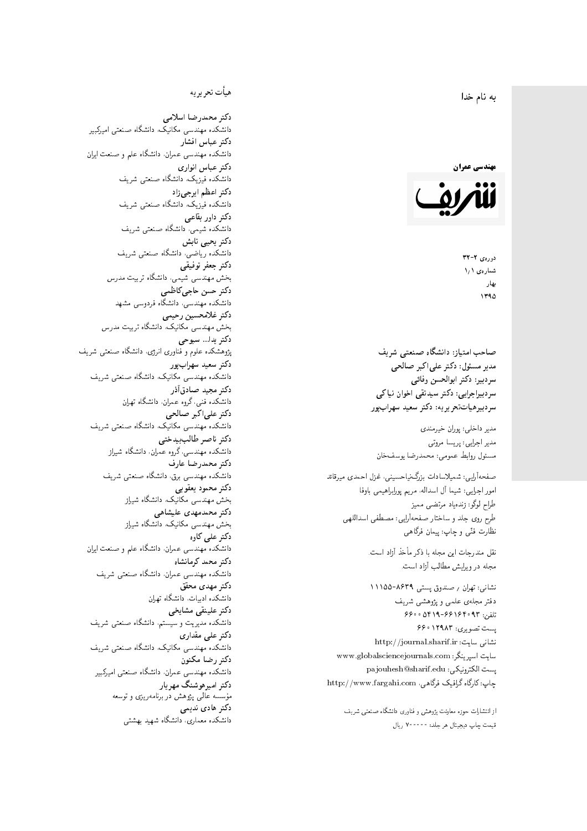#### $\overline{\phantom{a}}$ ز<br>ن به نام خدا .<br>.



دورەي ٢- ٣٢ شمارەي ١٫١ بهار 1790

صاحب امتیاز: دانشگاه صنعتی شریف  $\mathfrak{c}$ مدیر مسئول: دکتر علیاکبر صالحی  $\mathfrak{c}$ سردبير: دكتر ابوالحسن وفائي سردبیراجرایی: دکتر سیدتقی اخوان نیاکی سردبیرهیاتتحر یر یه : دکتر سعید سهرابپور

مدير داخلى: پوران خيرمندى<br>. مدير اجرايي: پريسا مروتي<br>. مسئول روابط عمومی: محمدرضا يوسفخان<br>.

: شمیلاسادات بزرگ:یاحسینی، غزل احمدی میرقائد<br>مسلسله امور اجرایی: شیما آل اسداله، مریم پورابراهیمی باوفا طراح لوگو: زندهیاد مرتضمی ممیز<br>ا طرح روى جلد و ساختار صفحه[رایی: مصطفى اسداللهی<br>بنالمستقد نظارت فنَّى و چاپ: پيمان فرگاهى<br>.

نقل مندرجات این مجله با ذکر مأخذ آزاد است.<br>مجله در ویرایش مطالب آزاد است.

نشانی: تهران / صندوق پستی ۸۶۳۹-۱۱۱۵۵ دفتر مجلهى علمى و پژوهشى شريف 7600 06196-96169 و 960 یست تصویری: ۱۲۹۸۳ ۶۶۰ نشانی سایت: http://journal.sharif.ir<br>م سايت اسپرينگر: www.globalsciencejournals.com<br>دادم ساخت pajouhesh@sharif.edu :يست الكترونيكي: چاپ: کارگاه گرافیک فرگاهی، http://www.fargahi.com

از انتشارات حوزه معاونت پژوهش و فناوری دانشگاه صنعتی شریف قيمت جاپ ديجيتال هر جلد: ۲۰۰۰۰۰ ريال

## هيأت تحريريه

دكتر محمدرضا اسلامى مکانیک، دانشگاه صنعتی امیرکبیر<br>. دكتر عباس افشار دانشکده مهندسی عمران، دانشگاه علم و صنعت ایران<br>بحمد مصلحات دكتر عباس انوارى دانشکده فیزیک، دانشگاه صنعتبی شریف<br>محمد استانسا دکتر اعظم ايرجى زاد ، دانشگاه صنعتبی شریف<br>. دکتر داور بقاع**ی** دانشکده شیمی، دانشگاه صنعتی شریف<br>دکتر یحیی تابش دانشکده ریاضی، دانشگاه صنعتی شریف<br>برمسمنستانستان دكتر جعفر توفيقي بخش مهندسی شیمی، دانشگاه تربیت مدرس<br>سم دكتر حسن حاجىكاظمي دانشکده مهندسی، دانشگاه فردوسی مشهد<br>کستفلار م دكتر غلامحسين رحيمي هندسی مکانیک، دانشگاه تربیت مدرس<br>ا دکتر یدا... سبوحی پژوهشکده علوم و فناوری انرژی، دانشگاه صنعتبی شریف دکتر سعید سهرابپور<br>دانشکده مهندسی مکانیک، دانشگاه صنعتی شریف دکتر مجيد صادقاذر ا<br>. دانشکده فنی، گروه عمران، دانشگاه تهران دکتر علیاکبر صالحی = دانشکده مهندسی مکانیک، دانشگاه صنعتی شریف<br>یکستا دکتر ناصر طالب بیدختی r  $\mathfrak{c}$ دانشکده مهندسی، گروه عمران، دانشگاه شیراز<br>مکتب مصدر مقبل علم دكتر محمدرضا عارف دانشکده مهندسی برق، دانشگاه صنعتی شریف<br><mark>دکتر محمود یعقوبی</mark> هندسی مکانیک، دانشگاه شیراز<br>مسدوده مصلوفیاه دکتر محمدمهدی علیشاهی بخش مهندسی مکانیک، دانشگاه شیراز<br>مکتبهای کابی دکتر علی کاوہ دانشکده مهندسی عمران، دانشگاه علم و صنعت ایران<br>بحت دکتر محمد کرمانشاه .<br>. دانشکده مهندسی عمران، دانشگاه صنعتی شریف<br>مکتبر دولت مستق دکتر مهد*ی* محقق دانشکده ادبیات، دانشگاه تهران دکتر علینقی مشایخ<u>ی</u> دانشکده مدیریت و سیستم، دانشگاه صنعتبی شریف<br>محمد باست دکتر علی مقداری دانشکده مهندسی مکانیک، دانشگاه صنعتی شریف<br><mark>دکتر رضا مکنون</mark> دانشکده مهندسی عمران. دانشگاه صنعتی امیرکبیر<br>محمد است میگ دکتر امیرهوشنگ مهریار سه عالمی پژوهش در برنامهریزی و توسعه<br>۱۹ادم خار موسه<br>بر ءُ<br>ك دکتر هادی ندیمی  $\overline{a}$ م هذا المسلمان المسلمان المسلمان المسلمان المسلمان المسلمان المسلمان المسلمان المسلمان المسلمان المسلمان المسل<br>المسلمان المسلمان المسلمان المسلمان المسلمان المسلمان المسلمان المسلمان المسلمان المسلمان المسلمان المسلمان ال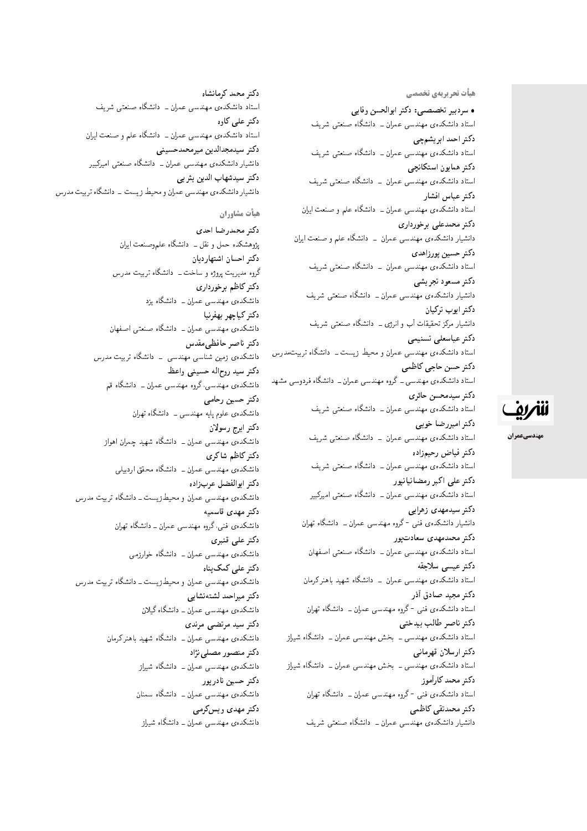هیأت تحریریهی تخ*صص*ی

• سردبیر تخصصی: دکتر ابوالحسن وفایی استاد دانشکدهی مهندسی عمران ـــ دانشگاه صنعتبی شریف دكتر احمد ابريشمچي استاد دانشکدهی مهندسی عمران ــ دانشگاه صنعتی شریف<br>دکتر همایون استکانچی دنتر همایون استحانچی<br>اسلسان ک استاد دانسدندهی مهندسی عمران – دانسدن مصنعتی سریف<br>م دكتر عباس افشار استاد دانشکدهی مهندسی عمران ــ دانشگاه علم و صنعت ایران دکتر محمدعلی برخورداری دانشیار دانشکدهی مهندسی عمران \_ دانشگاه علم و صنعت ایران دكتر حسين پورزاهدى استاد دانشکدهی مهندسی عمران – دانشگاه صنعتی شریف دكتر مسعود تجريشي دانشیار دانشکدهی مهندسی عمران ــ دانشگاه صنعتبی شریف دكتر ايوب تركيان دانشیار مرکز تحقیقات آب و انرژی ـــ دانشگاه صنعتی شریف دكتر عباسعلى تسنيمى استاد دانشکدهی مهندسی عمران و محیط زیست ـ دانشگاه تربیت *مدرس* دكتر حسن حاجي كاظمى استاد دانشکدهی مهندسی ــ گروه مهندسی عمران ــ دانشگاه فردوسی مشهد دكتر سيدمحسن حائرى استاد دانشکدهی مهندسی عمران ــ دانشگاه صنعتی شریف دكتر اميررضا خوبي استاد دانشکدهی مهندسی عمران \_ دانشگاه صنعتی شریف دكتر فياض رحيمزاده استاد دانشکدهی مهندسی عمران ــ دانشگاه صنعتی شریف دکتر علی اکبر رمضانیانیور استاد دانشکدهی مهندسی عمران ـــ دانشگاه صنعتی امیرکبیر دکتر سیدمهدی زهرایی دانشیار دانشکدهی فنی -گروه مهندسی عمران ــ دانشگاه تهران دکتر محمدمهدی سعادت یور استاد دانشکدهی مهندسی عمران ــ دانشگاه صنعتی اصفهان دكتر عيسى سلاجقه استاد دانشکدهی مهندسی عمران \_ دانشگاه شهید باهنرکرمان دكتر مجيد صادق أذر استاد دانشکدهی فنبی -گروه مهندسی عمران ــ دانشگاه تهران دكتر ناصر طالب بيدختى استاد دانشکدهی مهندسی ـ بخش مهندسی عمران ـ دانشگاه شیراز دكتر ارسلان قهرماني استاد دانشکدهی مهندسی ــ بخش مهندسی عمران ــ دانشگاه شیراز دكتر محمد كارأموز استاد دانشکدهی فنبی -گروه مهندسی عمران ــ دانشگاه تهران دكتر محمدتقى كاظمى

دانشیار دانشکدهی مهندسی عمران ــ دانشگاه صنعتی شریف

دكتر محمد كرمانشاه استاد دانشکدهی مهندسی عمران ـــ دانشگاه صنعتی شریف دکتر عل*ی* کاوہ استاد دانشکدهی مهندسی عمران ــ دانشگاه علم و صنعت ایران دكتر سيدمجدالدين ميرمحمدحسيني دانشیار دانشکدهی مهندسی عمران ـــ دانشگاه صنعتی امیرکبیر دكتر سيدشهاب الدين يثر بى دانشیار دانشکدهی مهندسی عمران و محیط زیست \_ دانشگاه تربیت مدرس

هيأت مشاوران

دكتر محمدرضا احدى پژوهشکده حمل و نقل ــ دانشگاه علموصنعت ایران دكتر احسان اشتهارديان گروه مدیریت پروژه و ساخت ـــ دانشگاه تربیت مدرس دكتر كاظم برخوردارى دانشکدهی مهندسی عمران ــ دانشگاه یزد دكتر كياچهر بهفرنيا دانشکدهی مهندسی عمران ــ دانشگاه صنعتی اصفهان دكتر ناصر حافظي مقدس دانشکدهی زمین شناسی مهندسی \_ دانشگاه تربیت مدرس دكتر سيد روح|له حسينبي واعظ دانشکده ی مهندسی،گروه مهندسی عمران ــ دانشگاه قم دكتر حسين رحامي دانشکده ی علوم پایه مهندسی ــ دانشگاه تهران دكتر ايرج رسولان دانشکدهی مهندسی عمران ــ دانشگاه شهید چمران اهواز دكتر كاظم شاكرى دانشکدهی مهندسی عمران ــ دانشگاه محقق اردبیلی دكتر ابوالفضل عربزاده دانشکدهی مهندسی عمران و محیط زیست ــ دانشگاه تربیت مدرس دكتر مهدى قاسميه دانشکدهی فنبی،گروه مهندسی عمران ــ دانشگاه تهران دكتر على قنبرى دانشکده، مهندسی عمران ــ دانشگاه خوارزمی دکتر علے کمک ہناہ دانشکدهی مهندسی عمران و محیط زیست ــ دانشگاه تربیت مدرس دكتر ميراحمد لشتهنشايي دانشکدهی مهندسی عمران ــ دانشگاه گیلان دكتر سيد مرتضى مرندى دانشکدهی مهندسی عمران ــ دانشگاه شهید باهنر کرمان دکتر منصور مصلی نژاد دانشکدهی مهندسی عمران ــ دانشگاه شیراز دكتر حسين نادريور دانشکدهی مهندسی عمران ــ دانشگاه سمنان دکتر مهدی ویس کرمے دانشکده ی مهندسی عمران ــ دانشگاه شیراز



مهندسيعمران